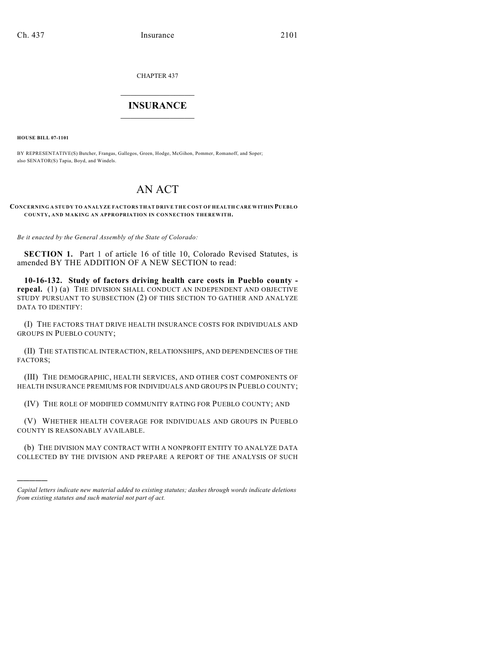CHAPTER 437

## $\mathcal{L}_\text{max}$  . The set of the set of the set of the set of the set of the set of the set of the set of the set of the set of the set of the set of the set of the set of the set of the set of the set of the set of the set **INSURANCE**  $\frac{1}{2}$  ,  $\frac{1}{2}$  ,  $\frac{1}{2}$  ,  $\frac{1}{2}$  ,  $\frac{1}{2}$  ,  $\frac{1}{2}$  ,  $\frac{1}{2}$

**HOUSE BILL 07-1101**

)))))

BY REPRESENTATIVE(S) Butcher, Frangas, Gallegos, Green, Hodge, McGihon, Pommer, Romanoff, and Soper; also SENATOR(S) Tapia, Boyd, and Windels.

## AN ACT

## **CONCERNING A STUDY TO ANALYZE FACTORS THAT DRIVE THE COST OF HEALTH CARE WITHIN PUEBLO COUNTY, AND MAKING AN APPROPRIATION IN CONNECTION THEREWITH.**

*Be it enacted by the General Assembly of the State of Colorado:*

**SECTION 1.** Part 1 of article 16 of title 10, Colorado Revised Statutes, is amended BY THE ADDITION OF A NEW SECTION to read:

**10-16-132. Study of factors driving health care costs in Pueblo county repeal.** (1) (a) THE DIVISION SHALL CONDUCT AN INDEPENDENT AND OBJECTIVE STUDY PURSUANT TO SUBSECTION (2) OF THIS SECTION TO GATHER AND ANALYZE DATA TO IDENTIFY:

(I) THE FACTORS THAT DRIVE HEALTH INSURANCE COSTS FOR INDIVIDUALS AND GROUPS IN PUEBLO COUNTY;

(II) THE STATISTICAL INTERACTION, RELATIONSHIPS, AND DEPENDENCIES OF THE FACTORS;

(III) THE DEMOGRAPHIC, HEALTH SERVICES, AND OTHER COST COMPONENTS OF HEALTH INSURANCE PREMIUMS FOR INDIVIDUALS AND GROUPS IN PUEBLO COUNTY;

(IV) THE ROLE OF MODIFIED COMMUNITY RATING FOR PUEBLO COUNTY; AND

(V) WHETHER HEALTH COVERAGE FOR INDIVIDUALS AND GROUPS IN PUEBLO COUNTY IS REASONABLY AVAILABLE.

(b) THE DIVISION MAY CONTRACT WITH A NONPROFIT ENTITY TO ANALYZE DATA COLLECTED BY THE DIVISION AND PREPARE A REPORT OF THE ANALYSIS OF SUCH

*Capital letters indicate new material added to existing statutes; dashes through words indicate deletions from existing statutes and such material not part of act.*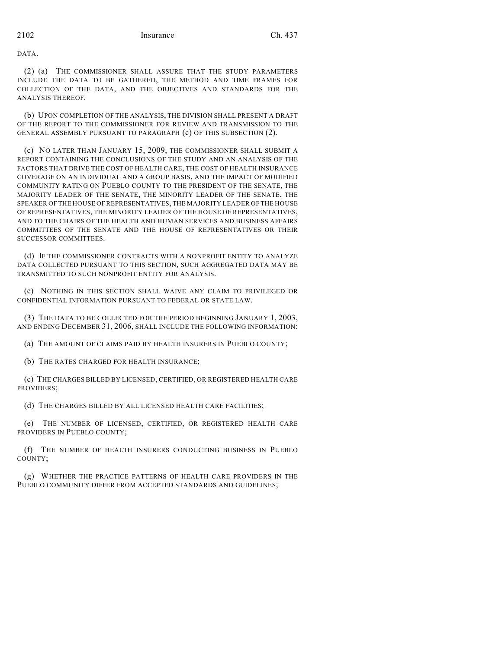DATA.

(2) (a) THE COMMISSIONER SHALL ASSURE THAT THE STUDY PARAMETERS INCLUDE THE DATA TO BE GATHERED, THE METHOD AND TIME FRAMES FOR COLLECTION OF THE DATA, AND THE OBJECTIVES AND STANDARDS FOR THE ANALYSIS THEREOF.

(b) UPON COMPLETION OF THE ANALYSIS, THE DIVISION SHALL PRESENT A DRAFT OF THE REPORT TO THE COMMISSIONER FOR REVIEW AND TRANSMISSION TO THE GENERAL ASSEMBLY PURSUANT TO PARAGRAPH (c) OF THIS SUBSECTION (2).

(c) NO LATER THAN JANUARY 15, 2009, THE COMMISSIONER SHALL SUBMIT A REPORT CONTAINING THE CONCLUSIONS OF THE STUDY AND AN ANALYSIS OF THE FACTORS THAT DRIVE THE COST OF HEALTH CARE, THE COST OF HEALTH INSURANCE COVERAGE ON AN INDIVIDUAL AND A GROUP BASIS, AND THE IMPACT OF MODIFIED COMMUNITY RATING ON PUEBLO COUNTY TO THE PRESIDENT OF THE SENATE, THE MAJORITY LEADER OF THE SENATE, THE MINORITY LEADER OF THE SENATE, THE SPEAKER OF THE HOUSE OF REPRESENTATIVES, THE MAJORITY LEADER OF THE HOUSE OF REPRESENTATIVES, THE MINORITY LEADER OF THE HOUSE OF REPRESENTATIVES, AND TO THE CHAIRS OF THE HEALTH AND HUMAN SERVICES AND BUSINESS AFFAIRS COMMITTEES OF THE SENATE AND THE HOUSE OF REPRESENTATIVES OR THEIR SUCCESSOR COMMITTEES.

(d) IF THE COMMISSIONER CONTRACTS WITH A NONPROFIT ENTITY TO ANALYZE DATA COLLECTED PURSUANT TO THIS SECTION, SUCH AGGREGATED DATA MAY BE TRANSMITTED TO SUCH NONPROFIT ENTITY FOR ANALYSIS.

(e) NOTHING IN THIS SECTION SHALL WAIVE ANY CLAIM TO PRIVILEGED OR CONFIDENTIAL INFORMATION PURSUANT TO FEDERAL OR STATE LAW.

(3) THE DATA TO BE COLLECTED FOR THE PERIOD BEGINNING JANUARY 1, 2003, AND ENDING DECEMBER 31, 2006, SHALL INCLUDE THE FOLLOWING INFORMATION:

(a) THE AMOUNT OF CLAIMS PAID BY HEALTH INSURERS IN PUEBLO COUNTY;

(b) THE RATES CHARGED FOR HEALTH INSURANCE;

(c) THE CHARGES BILLED BY LICENSED, CERTIFIED, OR REGISTERED HEALTH CARE PROVIDERS;

(d) THE CHARGES BILLED BY ALL LICENSED HEALTH CARE FACILITIES;

(e) THE NUMBER OF LICENSED, CERTIFIED, OR REGISTERED HEALTH CARE PROVIDERS IN PUEBLO COUNTY;

(f) THE NUMBER OF HEALTH INSURERS CONDUCTING BUSINESS IN PUEBLO COUNTY;

(g) WHETHER THE PRACTICE PATTERNS OF HEALTH CARE PROVIDERS IN THE PUEBLO COMMUNITY DIFFER FROM ACCEPTED STANDARDS AND GUIDELINES;